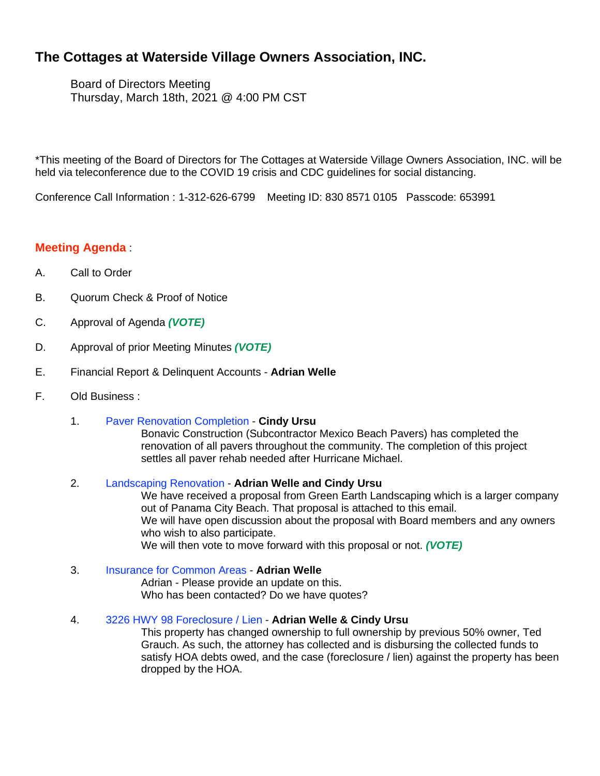# **The Cottages at Waterside Village Owners Association, INC.**

Board of Directors Meeting Thursday, March 18th, 2021 @ 4:00 PM CST

\*This meeting of the Board of Directors for The Cottages at Waterside Village Owners Association, INC. will be held via teleconference due to the COVID 19 crisis and CDC guidelines for social distancing.

Conference Call Information : 1-312-626-6799 Meeting ID: 830 8571 0105 Passcode: 653991

## **Meeting Agenda** :

- A. Call to Order
- B. Quorum Check & Proof of Notice
- C. Approval of Agenda *(VOTE)*
- D. Approval of prior Meeting Minutes *(VOTE)*
- E. Financial Report & Delinquent Accounts **Adrian Welle**
- F. Old Business :
	- 1. Paver Renovation Completion **Cindy Ursu**

Bonavic Construction (Subcontractor Mexico Beach Pavers) has completed the renovation of all pavers throughout the community. The completion of this project settles all paver rehab needed after Hurricane Michael.

#### 2. Landscaping Renovation - **Adrian Welle and Cindy Ursu**

We have received a proposal from Green Earth Landscaping which is a larger company out of Panama City Beach. That proposal is attached to this email. We will have open discussion about the proposal with Board members and any owners who wish to also participate. We will then vote to move forward with this proposal or not. *(VOTE)*

#### 3. Insurance for Common Areas - **Adrian Welle**

Adrian - Please provide an update on this. Who has been contacted? Do we have quotes?

4. 3226 HWY 98 Foreclosure / Lien - **Adrian Welle & Cindy Ursu**

This property has changed ownership to full ownership by previous 50% owner, Ted Grauch. As such, the attorney has collected and is disbursing the collected funds to satisfy HOA debts owed, and the case (foreclosure / lien) against the property has been dropped by the HOA.